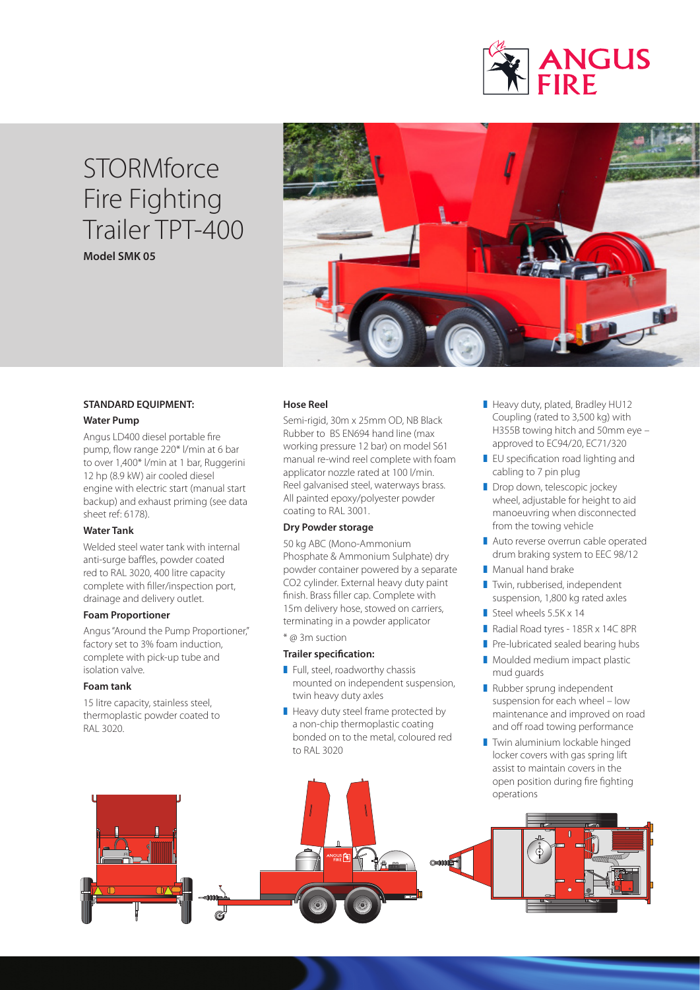

## **STORMforce** Fire Fighting Trailer TPT-400 **Model SMK 05**



#### **STANDARD EQUIPMENT:**

#### **Water Pump**

Angus LD400 diesel portable fire pump, flow range 220\* l/min at 6 bar to over 1,400\* l/min at 1 bar, Ruggerini 12 hp (8.9 kW) air cooled diesel engine with electric start (manual start backup) and exhaust priming (see data sheet ref: 6178).

#### **Water Tank**

Welded steel water tank with internal anti-surge baffles, powder coated red to RAL 3020, 400 litre capacity complete with filler/inspection port, drainage and delivery outlet.

#### **Foam Proportioner**

Angus "Around the Pump Proportioner," factory set to 3% foam induction, complete with pick-up tube and isolation valve.

#### **Foam tank**

15 litre capacity, stainless steel, thermoplastic powder coated to RAL 3020.

#### **Hose Reel**

Semi-rigid, 30m x 25mm OD, NB Black Rubber to BS EN694 hand line (max working pressure 12 bar) on model S61 manual re-wind reel complete with foam applicator nozzle rated at 100 l/min. Reel galvanised steel, waterways brass. All painted epoxy/polyester powder coating to RAL 3001.

#### **Dry Powder storage**

50 kg ABC (Mono-Ammonium Phosphate & Ammonium Sulphate) dry powder container powered by a separate CO2 cylinder. External heavy duty paint finish. Brass filler cap. Complete with 15m delivery hose, stowed on carriers, terminating in a powder applicator \* @ 3m suction

### **Trailer specification:**

- $\blacksquare$  Full, steel, roadworthy chassis mounted on independent suspension, twin heavy duty axles
- $\blacksquare$  Heavy duty steel frame protected by a non-chip thermoplastic coating bonded on to the metal, coloured red to RAL 3020
- Heavy duty, plated, Bradley HU12 Coupling (rated to 3,500 kg) with H355B towing hitch and 50mm eye – approved to EC94/20, EC71/320
- $\blacksquare$  EU specification road lighting and cabling to 7 pin plug
- Drop down, telescopic jockey wheel, adjustable for height to aid manoeuvring when disconnected from the towing vehicle
- Auto reverse overrun cable operated drum braking system to EEC 98/12
- Manual hand brake
- **Twin, rubberised, independent** suspension, 1,800 kg rated axles
- Steel wheels  $5.5K \times 14$
- Radial Road tyres 185R x 14C 8PR
- Pre-lubricated sealed bearing hubs
- Moulded medium impact plastic mud guards
- Rubber sprung independent suspension for each wheel – low maintenance and improved on road and off road towing performance
- **Twin aluminium lockable hinged** locker covers with gas spring lift assist to maintain covers in the open position during fire fighting operations